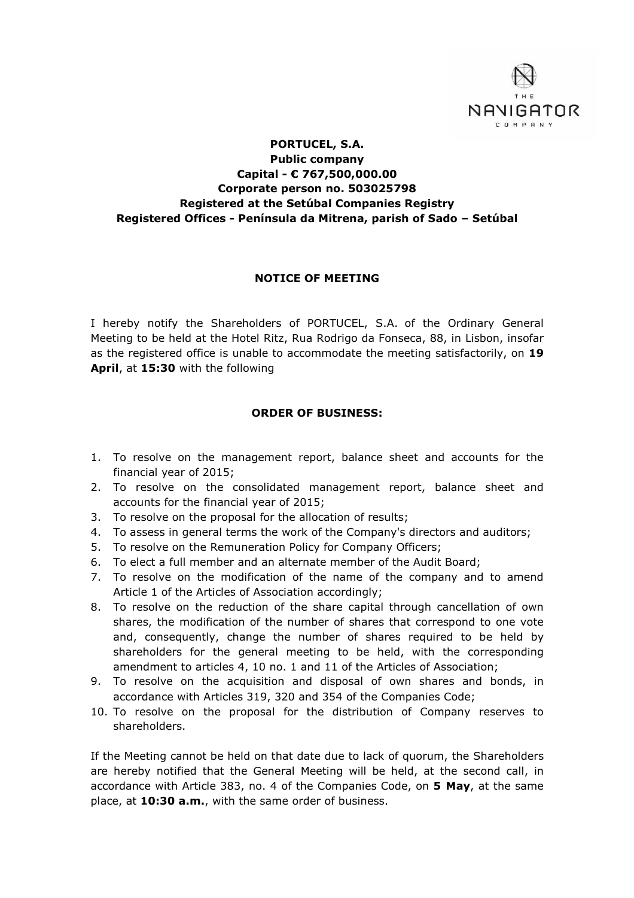

## **PORTUCEL, S.A. Public company Capital - € 767,500,000.00 Corporate person no. 503025798 Registered at the Setúbal Companies Registry Registered Offices - Península da Mitrena, parish of Sado – Setúbal**

## **NOTICE OF MEETING**

I hereby notify the Shareholders of PORTUCEL, S.A. of the Ordinary General Meeting to be held at the Hotel Ritz, Rua Rodrigo da Fonseca, 88, in Lisbon, insofar as the registered office is unable to accommodate the meeting satisfactorily, on **19 April**, at **15:30** with the following

## **ORDER OF BUSINESS:**

- 1. To resolve on the management report, balance sheet and accounts for the financial year of 2015;
- 2. To resolve on the consolidated management report, balance sheet and accounts for the financial year of 2015;
- 3. To resolve on the proposal for the allocation of results;
- 4. To assess in general terms the work of the Company's directors and auditors;
- 5. To resolve on the Remuneration Policy for Company Officers;
- 6. To elect a full member and an alternate member of the Audit Board;
- 7. To resolve on the modification of the name of the company and to amend Article 1 of the Articles of Association accordingly;
- 8. To resolve on the reduction of the share capital through cancellation of own shares, the modification of the number of shares that correspond to one vote and, consequently, change the number of shares required to be held by shareholders for the general meeting to be held, with the corresponding amendment to articles 4, 10 no. 1 and 11 of the Articles of Association;
- 9. To resolve on the acquisition and disposal of own shares and bonds, in accordance with Articles 319, 320 and 354 of the Companies Code;
- 10. To resolve on the proposal for the distribution of Company reserves to shareholders.

If the Meeting cannot be held on that date due to lack of quorum, the Shareholders are hereby notified that the General Meeting will be held, at the second call, in accordance with Article 383, no. 4 of the Companies Code, on **5 May**, at the same place, at **10:30 a.m.**, with the same order of business.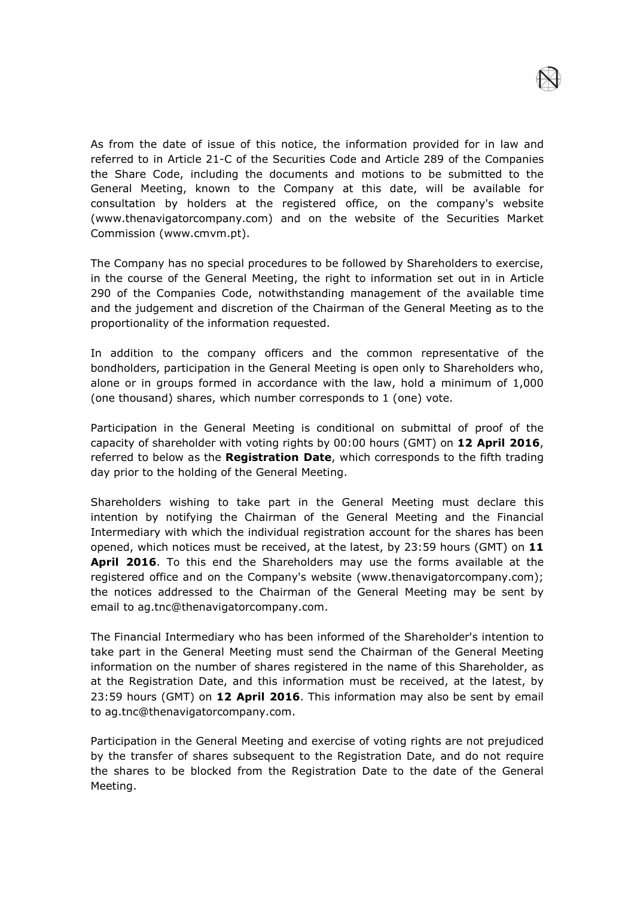As from the date of issue of this notice, the information provided for in law and referred to in Article 21-C of the Securities Code and Article 289 of the Companies the Share Code, including the documents and motions to be submitted to the General Meeting, known to the Company at this date, will be available for consultation by holders at the registered office, on the company's website (www.thenavigatorcompany.com) and on the website of the Securities Market Commission (www.cmvm.pt).

The Company has no special procedures to be followed by Shareholders to exercise, in the course of the General Meeting, the right to information set out in in Article 290 of the Companies Code, notwithstanding management of the available time and the judgement and discretion of the Chairman of the General Meeting as to the proportionality of the information requested.

In addition to the company officers and the common representative of the bondholders, participation in the General Meeting is open only to Shareholders who, alone or in groups formed in accordance with the law, hold a minimum of 1,000 (one thousand) shares, which number corresponds to 1 (one) vote.

Participation in the General Meeting is conditional on submittal of proof of the capacity of shareholder with voting rights by 00:00 hours (GMT) on **12 April 2016**, referred to below as the **Registration Date**, which corresponds to the fifth trading day prior to the holding of the General Meeting.

Shareholders wishing to take part in the General Meeting must declare this intention by notifying the Chairman of the General Meeting and the Financial Intermediary with which the individual registration account for the shares has been opened, which notices must be received, at the latest, by 23:59 hours (GMT) on **11 April 2016**. To this end the Shareholders may use the forms available at the registered office and on the Company's website (www.thenavigatorcompany.com); the notices addressed to the Chairman of the General Meeting may be sent by email to ag.tnc@thenavigatorcompany.com.

The Financial Intermediary who has been informed of the Shareholder's intention to take part in the General Meeting must send the Chairman of the General Meeting information on the number of shares registered in the name of this Shareholder, as at the Registration Date, and this information must be received, at the latest, by 23:59 hours (GMT) on **12 April 2016**. This information may also be sent by email to ag.tnc@thenavigatorcompany.com.

Participation in the General Meeting and exercise of voting rights are not prejudiced by the transfer of shares subsequent to the Registration Date, and do not require the shares to be blocked from the Registration Date to the date of the General Meeting.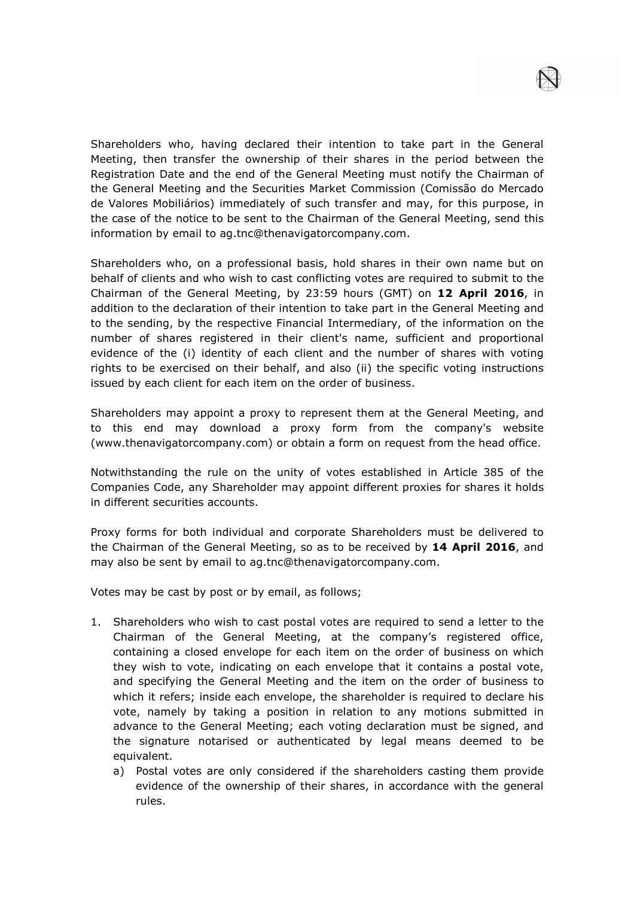Shareholders who, having declared their intention to take part in the General Meeting, then transfer the ownership of their shares in the period between the Registration Date and the end of the General Meeting must notify the Chairman of the General Meeting and the Securities Market Commission (Comissão do Mercado de Valores Mobiliários) immediately of such transfer and may, for this purpose, in the case of the notice to be sent to the Chairman of the General Meeting, send this information by email to ag.tnc@thenavigatorcompany.com.

Shareholders who, on a professional basis, hold shares in their own name but on behalf of clients and who wish to cast conflicting votes are required to submit to the Chairman of the General Meeting, by 23:59 hours (GMT) on **12 April 2016**, in addition to the declaration of their intention to take part in the General Meeting and to the sending, by the respective Financial Intermediary, of the information on the number of shares registered in their client's name, sufficient and proportional evidence of the (i) identity of each client and the number of shares with voting rights to be exercised on their behalf, and also (ii) the specific voting instructions issued by each client for each item on the order of business.

Shareholders may appoint a proxy to represent them at the General Meeting, and to this end may download a proxy form from the company's website (www.thenavigatorcompany.com) or obtain a form on request from the head office.

Notwithstanding the rule on the unity of votes established in Article 385 of the Companies Code, any Shareholder may appoint different proxies for shares it holds in different securities accounts.

Proxy forms for both individual and corporate Shareholders must be delivered to the Chairman of the General Meeting, so as to be received by **14 April 2016**, and may also be sent by email to ag.tnc@thenavigatorcompany.com.

Votes may be cast by post or by email, as follows;

- 1. Shareholders who wish to cast postal votes are required to send a letter to the Chairman of the General Meeting, at the company's registered office, containing a closed envelope for each item on the order of business on which they wish to vote, indicating on each envelope that it contains a postal vote, and specifying the General Meeting and the item on the order of business to which it refers; inside each envelope, the shareholder is required to declare his vote, namely by taking a position in relation to any motions submitted in advance to the General Meeting; each voting declaration must be signed, and the signature notarised or authenticated by legal means deemed to be equivalent.
	- a) Postal votes are only considered if the shareholders casting them provide evidence of the ownership of their shares, in accordance with the general rules.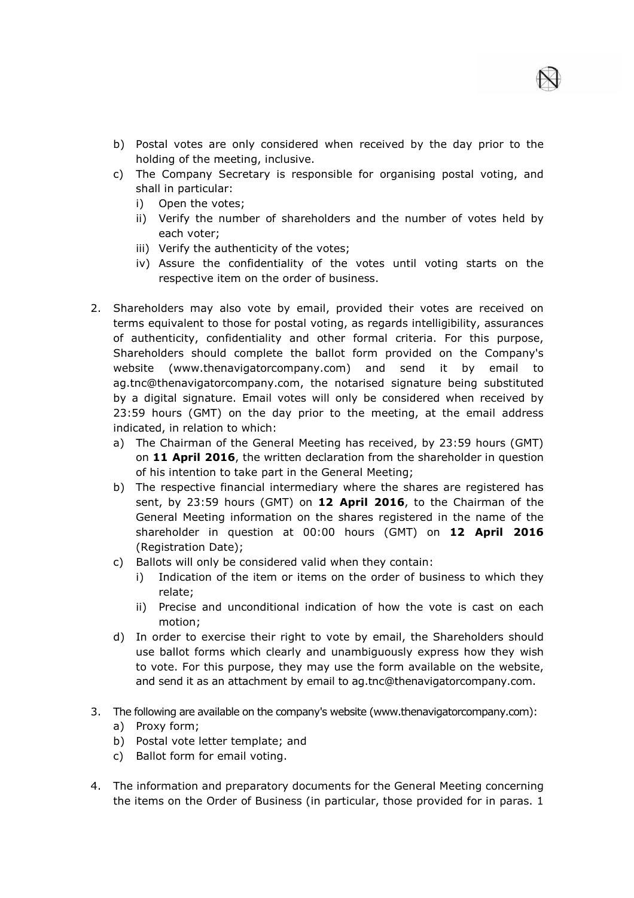

- b) Postal votes are only considered when received by the day prior to the holding of the meeting, inclusive.
- c) The Company Secretary is responsible for organising postal voting, and shall in particular:
	- i) Open the votes;
	- ii) Verify the number of shareholders and the number of votes held by each voter;
	- iii) Verify the authenticity of the votes;
	- iv) Assure the confidentiality of the votes until voting starts on the respective item on the order of business.
- 2. Shareholders may also vote by email, provided their votes are received on terms equivalent to those for postal voting, as regards intelligibility, assurances of authenticity, confidentiality and other formal criteria. For this purpose, Shareholders should complete the ballot form provided on the Company's website (www.thenavigatorcompany.com) and send it by email to ag.tnc@thenavigatorcompany.com, the notarised signature being substituted by a digital signature. Email votes will only be considered when received by 23:59 hours (GMT) on the day prior to the meeting, at the email address indicated, in relation to which:
	- a) The Chairman of the General Meeting has received, by 23:59 hours (GMT) on **11 April 2016**, the written declaration from the shareholder in question of his intention to take part in the General Meeting;
	- b) The respective financial intermediary where the shares are registered has sent, by 23:59 hours (GMT) on **12 April 2016**, to the Chairman of the General Meeting information on the shares registered in the name of the shareholder in question at 00:00 hours (GMT) on **12 April 2016** (Registration Date);
	- c) Ballots will only be considered valid when they contain:
		- i) Indication of the item or items on the order of business to which they relate;
		- ii) Precise and unconditional indication of how the vote is cast on each motion;
	- d) In order to exercise their right to vote by email, the Shareholders should use ballot forms which clearly and unambiguously express how they wish to vote. For this purpose, they may use the form available on the website, and send it as an attachment by email to ag.tnc@thenavigatorcompany.com.
- 3. The following are available on the company's website (www.thenavigatorcompany.com):
	- a) Proxy form;
	- b) Postal vote letter template; and
	- c) Ballot form for email voting.
- 4. The information and preparatory documents for the General Meeting concerning the items on the Order of Business (in particular, those provided for in paras. 1